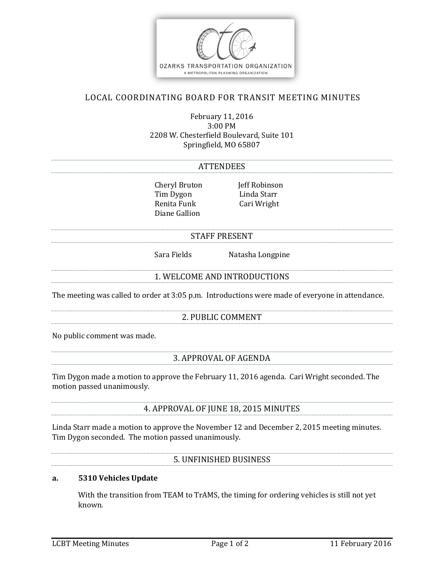

# LOCAL COORDINATING BOARD FOR TRANSIT MEETING MINUTES

February 11, 2016 3:00 PM 2208 W. Chesterfield Boulevard, Suite 101 Springfield, MO 65807

#### **ATTENDEES**

Cheryl Bruton Jeff Robinson Tim Dygon Linda Starr Renita Funk Cari Wright Diane Gallion

#### STAFF PRESENT

Sara Fields Natasha Longpine

### 1. WELCOME AND INTRODUCTIONS

The meeting was called to order at 3:05 p.m. Introductions were made of everyone in attendance.

## 2. PUBLIC COMMENT

No public comment was made.

### 3. APPROVAL OF AGENDA

Tim Dygon made a motion to approve the February 11, 2016 agenda. Cari Wright seconded. The motion passed unanimously.

## 4. APPROVAL OF JUNE 18, 2015 MINUTES

Linda Starr made a motion to approve the November 12 and December 2, 2015 meeting minutes. Tim Dygon seconded. The motion passed unanimously.

### 5. UNFINISHED BUSINESS

### **a. 5310 Vehicles Update**

With the transition from TEAM to TrAMS, the timing for ordering vehicles is still not yet known.